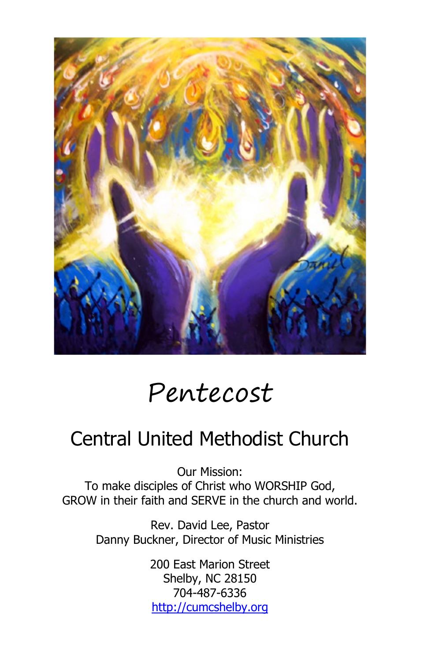

# Pentecost

## Central United Methodist Church

Our Mission: To make disciples of Christ who WORSHIP God, GROW in their faith and SERVE in the church and world.

> Rev. David Lee, Pastor Danny Buckner, Director of Music Ministries

> > 200 East Marion Street Shelby, NC 28150 704-487-6336 [http://cumcshelby.org](http://cumcshelby.org/)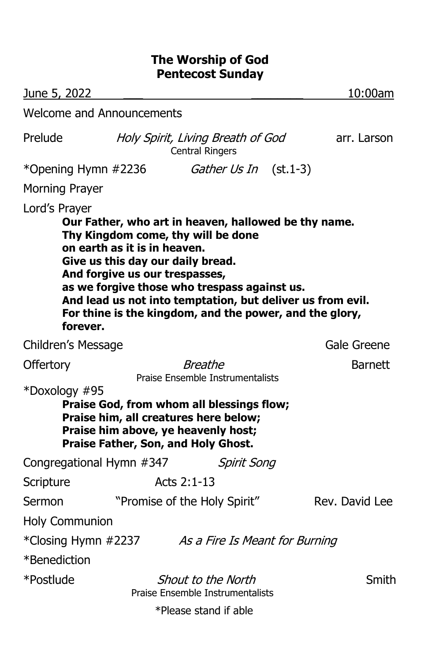## **The Worship of God Pentecost Sunday**

| June 5, 2022                     |                                                             |                                                                                                                                                                                                                                                                                                                                            | 10:00am        |
|----------------------------------|-------------------------------------------------------------|--------------------------------------------------------------------------------------------------------------------------------------------------------------------------------------------------------------------------------------------------------------------------------------------------------------------------------------------|----------------|
| <b>Welcome and Announcements</b> |                                                             |                                                                                                                                                                                                                                                                                                                                            |                |
| Prelude                          | Holy Spirit, Living Breath of God<br><b>Central Ringers</b> |                                                                                                                                                                                                                                                                                                                                            | arr. Larson    |
| *Opening Hymn #2236              |                                                             | Gather Us In (st.1-3)                                                                                                                                                                                                                                                                                                                      |                |
| Morning Prayer                   |                                                             |                                                                                                                                                                                                                                                                                                                                            |                |
| Lord's Prayer<br>forever.        | on earth as it is in heaven.                                | Our Father, who art in heaven, hallowed be thy name.<br>Thy Kingdom come, thy will be done<br>Give us this day our daily bread.<br>And forgive us our trespasses,<br>as we forgive those who trespass against us.<br>And lead us not into temptation, but deliver us from evil.<br>For thine is the kingdom, and the power, and the glory, |                |
| Children's Message               |                                                             |                                                                                                                                                                                                                                                                                                                                            | Gale Greene    |
| <b>Offertory</b>                 | <b>Breathe</b><br>Praise Ensemble Instrumentalists          |                                                                                                                                                                                                                                                                                                                                            | <b>Barnett</b> |
| *Doxology #95                    |                                                             | Praise God, from whom all blessings flow;<br>Praise him, all creatures here below;<br>Praise him above, ye heavenly host;<br>Praise Father, Son, and Holy Ghost.                                                                                                                                                                           |                |
| Congregational Hymn #347         |                                                             | <b>Spirit Song</b>                                                                                                                                                                                                                                                                                                                         |                |
| Scripture                        |                                                             | Acts 2:1-13                                                                                                                                                                                                                                                                                                                                |                |
| Sermon                           |                                                             | "Promise of the Holy Spirit"                                                                                                                                                                                                                                                                                                               | Rev. David Lee |
| <b>Holy Communion</b>            |                                                             |                                                                                                                                                                                                                                                                                                                                            |                |
| *Closing Hymn #2237              |                                                             | As a Fire Is Meant for Burning                                                                                                                                                                                                                                                                                                             |                |
| *Benediction                     |                                                             |                                                                                                                                                                                                                                                                                                                                            |                |
| *Postlude                        |                                                             | Shout to the North<br>Praise Ensemble Instrumentalists                                                                                                                                                                                                                                                                                     | Smith          |
|                                  |                                                             | *Please stand if able                                                                                                                                                                                                                                                                                                                      |                |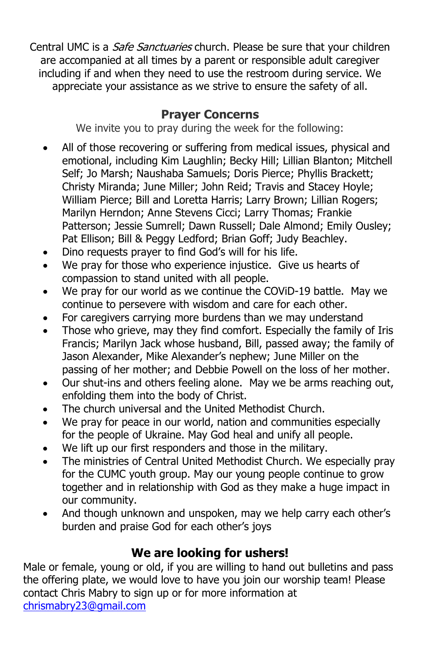Central UMC is a *Safe Sanctuaries* church. Please be sure that your children are accompanied at all times by a parent or responsible adult caregiver including if and when they need to use the restroom during service. We appreciate your assistance as we strive to ensure the safety of all.

## **Prayer Concerns**

We invite you to pray during the week for the following:

- All of those recovering or suffering from medical issues, physical and emotional, including Kim Laughlin; Becky Hill; Lillian Blanton; Mitchell Self; Jo Marsh; Naushaba Samuels; Doris Pierce; Phyllis Brackett; Christy Miranda; June Miller; John Reid; Travis and Stacey Hoyle; William Pierce; Bill and Loretta Harris; Larry Brown; Lillian Rogers; Marilyn Herndon; Anne Stevens Cicci; Larry Thomas; Frankie Patterson; Jessie Sumrell; Dawn Russell; Dale Almond; Emily Ousley; Pat Ellison; Bill & Peggy Ledford; Brian Goff; Judy Beachley.
- Dino requests prayer to find God's will for his life.
- We pray for those who experience injustice. Give us hearts of compassion to stand united with all people.
- We pray for our world as we continue the COViD-19 battle. May we continue to persevere with wisdom and care for each other.
- For caregivers carrying more burdens than we may understand
- Those who grieve, may they find comfort. Especially the family of Iris Francis; Marilyn Jack whose husband, Bill, passed away; the family of Jason Alexander, Mike Alexander's nephew; June Miller on the passing of her mother; and Debbie Powell on the loss of her mother.
- Our shut-ins and others feeling alone. May we be arms reaching out, enfolding them into the body of Christ.
- The church universal and the United Methodist Church.
- We pray for peace in our world, nation and communities especially for the people of Ukraine. May God heal and unify all people.
- We lift up our first responders and those in the military.
- The ministries of Central United Methodist Church. We especially pray for the CUMC youth group. May our young people continue to grow together and in relationship with God as they make a huge impact in our community.
- And though unknown and unspoken, may we help carry each other's burden and praise God for each other's joys

## **We are looking for ushers!**

Male or female, young or old, if you are willing to hand out bulletins and pass the offering plate, we would love to have you join our worship team! Please contact Chris Mabry to sign up or for more information at [chrismabry23@gmail.com](mailto:chrismabry23@gmail.com)